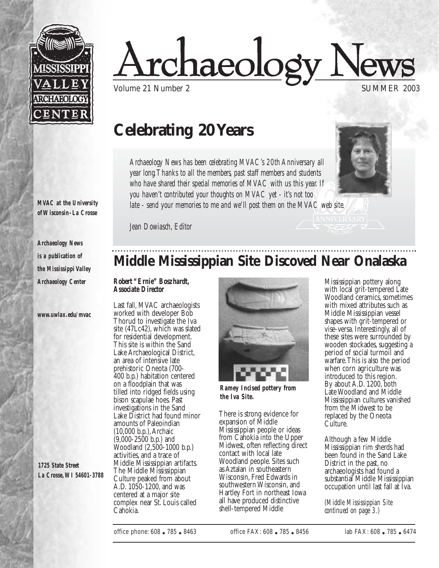

<u>rchaeology Ne</u>

Volume 21 Number 2

### **Celebrating 20 Years**

*Archaeology News has been celebrating MVAC's 20th Anniversary all year long.Thanks to all the members, past staff members and students who have shared their special memories of MVAC with us this year. If you haven't contributed your thoughts on MVAC yet - it's not too late - send your memories to me and we'll post them on the MVAC web site.*



*MVAC at the University of Wisconsin-La Crosse* 

*Archaeology News is a publication of the Mississippi Valley Archaeology Center*

*www.uwlax.edu/mvac*

*1725 State Street La Crosse,WI 54601-3788* 

## **Middle Mississippian Site Discoved Near Onalaska**

#### *Robert "Ernie" Boszhardt, Associate Director*

*Jean Dowiasch, Editor*

Last fall, MVAC archaeologists worked with developer Bob Thorud to investigate the Iva site (47Lc42), which was slated for residential development. This site is within the Sand Lake Archaeological District, an area of intensive late prehistoric Oneota (700- 400 b.p.) habitation centered on a floodplain that was tilled into ridged fields using bison scapulae hoes. Past investigations in the Sand Lake District had found minor amounts of Paleoindian (10,000 b.p.),Archaic (9,000-2500 b.p.) and Woodland (2,500-1000 b.p.) activities, and a trace of Middle Mississippian artifacts. The Middle Mississippian Culture peaked from about A.D. 1050-1200, and was centered at a major site complex near St. Louis called Cahokia.



*Ramey Incised pottery from the Iva Site.*

There is strong evidence for expansion of Middle Mississippian people or ideas from Cahokia into the Upper Midwest, often reflecting direct contact with local late Woodland people. Sites such as Aztalan in southeastern Wisconsin, Fred Edwards in southwestern Wisconsin, and Hartley Fort in northeast Iowa all have produced distinctive shell-tempered Middle

Mississippian pottery along with local grit-tempered Late Woodland ceramics, sometimes with mixed attributes such as Middle Mississippian vessel shapes with grit-tempered or vise-versa. Interestingly, all of these sites were surrounded by wooden stockades, suggesting a period of social turmoil and warfare.This is also the period when corn agriculture was introduced to this region. By about A.D. 1200, both Late Woodland and Middle Mississippian cultures vanished from the Midwest to be replaced by the Oneota Culture.

Although a few Middle Mississippian rim sherds had been found in the Sand Lake District in the past, no archaeologists had found a substantial Middle Mississippian occupation until last fall at Iva.

*(Middle Mississippian Site continued on page 3.)*

office phone: 608 ● 785 ● 8463 office FAX: 608 ● 785 ● 8456 lab FAX: 608 ● 785 ● 6474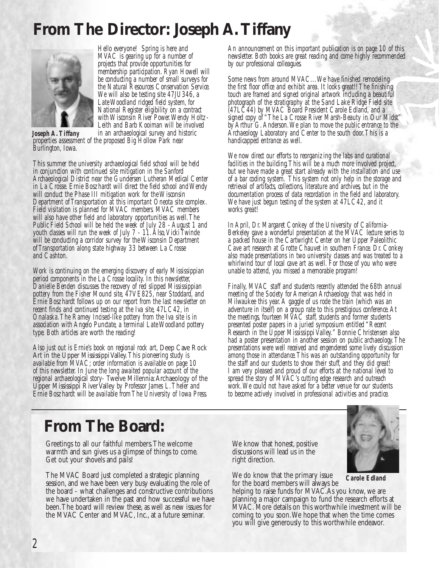# **From The Director: Joseph A.Tiffany**



*Hello everyone! Spring is here and MVAC is gearing up for a number of projects that provide opportunities for membership participation. Ryan Howell will be conducting a number of small surveys for the Natural Resources Conservation Service. We will also be testing site 47JU346, a Late Woodland ridged field system, for National Register eligibility on a contract with Wisconsin River Power.Wendy Holtz-Leith and Barb Kooiman will be involved in an archaeological survey and historic*

*properties assessment of the proposed Big Hollow Park near Burlington, Iowa. Joseph A.Tiffany*

*This summer the university archaeological field school will be held in conjunction with continued site mitigation in the Sanford Archaeological District near the Gundersen Lutheran Medical Center in La Crosse. Ernie Boszhardt will direct the field school and Wendy will conduct the Phase III mitigation work for the Wisconsin Department of Transportation at this important Oneota site complex. Field visitation is planned for MVAC members. MVAC members will also have other field and laboratory opportunities as well.The Public Field School will be held the week of July 28 - August 1 and youth classes will run the week of July 7 - 11. Also, Vicki Twinde* will be conducting a corridor survey for the Wisconsin Department *of Transportation along state highway 33 between La Crosse and Cashton.*

*Work is continuing on the emerging discovery of early Mississippian period components in the La Crosse locality. In this newsletter, Danielle Benden discusses the recovery of red slipped Mississippian pottery from the Fisher Mound site, 47VE825, near Stoddard, and Ernie Boszhardt follows up on our report from the last newsletter on recent finds and continued testing at the Iva site, 47LC42, in Onalaska.The Ramey Incised-like pottery from the Iva site is in association with Angelo Punctate, a terminal Late Woodland pottery type. Both articles are worth the reading!*

*Also just out is Ernie's book on regional rock art,* Deep Cave Rock available from MVAC; order information is available on page 10 *of this newsletter. In June the long awaited popular account of the regional archaeological story-* Twelve Millennia:Archaeology of the Upper Mississippi River Valley *by Professor James L.Theler and Ernie Boszhardt will be available from The University of Iowa Press.*

*An announcement on this important publication is on page 10 of this newsletter. Both books are great reading and come highly recommended by our professional colleagues.*

*Some news from around MVAC...We have finished remodeling the first floor office and exhibit area. It looks great!! The finishing touch are framed and signed original artwork including a beautiful photograph of the stratigraphy at the Sand Lake Ridge Field site (47LC44) by MVAC Board President Carole Edland, and a signed copy of "The La Crosse River Marsh-Beauty in Our Midst" by Arthur G.Anderson.We plan to move the public entrance to the Archaeology Laboratory and Center to the south door.This is a handicapped entrance as well.*

*We now direct our efforts to reorganizing the labs and curational facilities in the building.This will be a much more involved project, but we have made a great start already with the installation and use of a bar coding system. This system not only help in the storage and retrieval of artifacts, collections, literature and archives, but in the documentation process of data recordation in the field and laboratory. We have just begun testing of the system at 47LC42, and it works great!*

*In April, Dr. Margaret Conkey of the University of California-Berkeley gave a wonderful presentation at the MVAC lecture series to a packed house in the Cartwright Center on her Upper Paleolithic Cave art research at Grotte Chauvet in southern France. Dr. Conkey also made presentations in two university classes and was treated to a whirlwind tour of local cave art as well. For those of you who were unable to attend, you missed a memorable program!*

*Finally, MVAC staff and students recently attended the 68th annual meeting of the Society for American Archaeology that was held in Milwaukee this year.A gaggle of us rode the train (which was an adventure in itself) on a group rate to this prestigious conference.At the meetings, fourteen MVAC staff, students and former students presented poster papers in a juried symposium entitled "Recent Research in the Upper Mississippi Valley." Bonnie Christensen also had a poster presentation in another session on public archaeology.The presentations were well received and engendered some lively discussion among those in attendance.This was an outstanding opportunity for the staff and our students to show their stuff, and they did great! I am very pleased and proud of our efforts at the national level to spread the story of MVAC's cutting edge research and outreach work.We could not have asked for a better venue for our students to become actively involved in professional activities and practice.*

### **From The Board:**

Greetings to all our faithful members.The welcome warmth and sun gives us a glimpse of things to come. Get out your shovels and pails!

The MVAC Board just completed a strategic planning session, and we have been very busy evaluating the role of the board - what challenges and constructive contributions we have undertaken in the past and how successful we have been.The board will review these, as well as new issues for the MVAC Center and MVAC, Inc., at a future seminar.

We know that honest, positive discussions will lead us in the right direction.

We do know that the primary issue for the board members will always be



*Carole Edland*

helping to raise funds for MVAC.As you know, we are planning a major campaign to fund the research efforts at MVAC. More details on this worthwhile investment will be coming to you soon.We hope that when the time comes you will give generously to this worthwhile endeavor.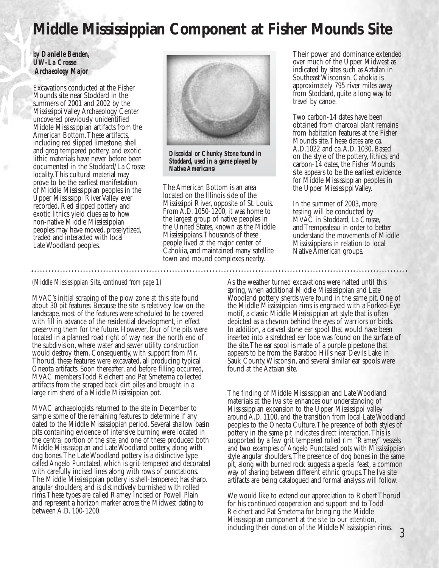## **Middle Mississippian Component at Fisher Mounds Site**

#### *by Danielle Benden, UW-La Crosse Archaeology Major*

Excavations conducted at the Fisher Mounds site near Stoddard in the summers of 2001 and 2002 by the Mississippi Valley Archaeology Center uncovered previously unidentified Middle Mississippian artifacts from the American Bottom.These artifacts, including red slipped limestone, shell and grog tempered pottery, and exotic lithic materials have never before been documented in the Stoddard/La Crosse locality.This cultural material may prove to be the earliest manifestation of Middle Mississippian peoples in the Upper Mississippi River Valley ever recorded. Red slipped pottery and exotic lithics yield clues as to how non-native Middle Mississippian peoples may have moved, proselytized, traded and interacted with local Late Woodland peoples.



*Discoidal or Chunky Stone found in Stoddard, used in a game played by Native Americans/*

The American Bottom is an area located on the Illinois side of the Mississippi River, opposite of St. Louis. From A.D. 1050-1200, it was home to the largest group of native peoples in the United States, known as the Middle Mississippians.Thousands of these people lived at the major center of Cahokia, and maintained many satellite town and mound complexes nearby.

Their power and dominance extended over much of the Upper Midwest as indicated by sites such as Aztalan in Southeast Wisconsin. Cahokia is approximately 795 river miles away from Stoddard, quite a long way to travel by canoe.

Two carbon-14 dates have been obtained from charcoal plant remains from habitation features at the Fisher Mounds site.These dates are ca. A.D.1022 and ca.A.D. 1030. Based on the style of the pottery, lithics, and carbon-14 dates, the Fisher Mounds site appears to be the earliest evidence for Middle Mississippian peoples in the Upper Mississippi Valley.

In the summer of 2003, more testing will be conducted by MVAC in Stoddard, La Crosse, and Trempealeau in order to better understand the movements of Middle Mississippians in relation to local Native American groups.

#### *(Middle Mississippian Site, continued from page 1)*

MVAC's initial scraping of the plow zone at this site found about 30 pit features. Because the site is relatively low on the landscape, most of the features were scheduled to be covered with fill in advance of the residential development, in effect preserving them for the future. However, four of the pits were located in a planned road right of way near the north end of the subdivision, where water and sewer utility construction would destroy them. Consequently, with support from Mr. Thorud, these features were excavated, all producing typical Oneota artifacts. Soon thereafter, and before filling occurred, MVAC members Todd Reichert and Pat Smetema collected artifacts from the scraped back dirt piles and brought in a large rim sherd of a Middle Mississippian pot.

MVAC archaeologists returned to the site in December to sample some of the remaining features to determine if any dated to the Middle Mississippian period. Several shallow basin pits containing evidence of intensive burning were located in the central portion of the site, and one of these produced both Middle Mississippian and Late Woodland pottery, along with dog bones.The Late Woodland pottery is a distinctive type called Angelo Punctated, which is grit-tempered and decorated with carefully incised lines along with rows of punctations. The Middle Mississippian pottery is shell-tempered; has sharp, angular shoulders; and is distinctively burnished with rolled rims.These types are called Ramey Incised or Powell Plain and represent a horizon marker across the Midwest dating to between A.D. 100-1200.

As the weather turned excavations were halted until this spring, when additional Middle Mississippian and Late Woodland pottery sherds were found in the same pit. One of the Middle Mississippian rims is engraved with a Forked-Eye motif, a classic Middle Mississippian art style that is often depicted as a chevron behind the eyes of warriors or birds. In addition, a carved stone ear spool that would have been inserted into a stretched ear lobe was found on the surface of the site.The ear spool is made of a purple pipestone that appears to be from the Baraboo Hills near Devils Lake in Sauk County,Wisconsin, and several similar ear spools were found at the Aztalan site.

The finding of Middle Mississippian and Late Woodland materials at the Iva site enhances our understanding of Mississippian expansion to the Upper Mississippi valley around A.D. 1100, and the transition from local Late Woodland peoples to the Oneota Culture.The presence of both styles of pottery in the same pit indicates direct interaction.This is supported by a few grit tempered rolled rim "Ramey" vessels and two examples of Angelo Punctated pots with Mississippian style angular shoulders.The presence of dog bones in the same pit, along with burned rock suggests a special feast, a common way of sharing between different ethnic groups.The Iva site artifacts are being catalogued and formal analysis will follow.

We would like to extend our appreciation to Robert Thorud for his continued cooperation and support and to Todd Reichert and Pat Smetema for bringing the Middle Mississippian component at the site to our attention, including their donation of the Middle Mississippian rims.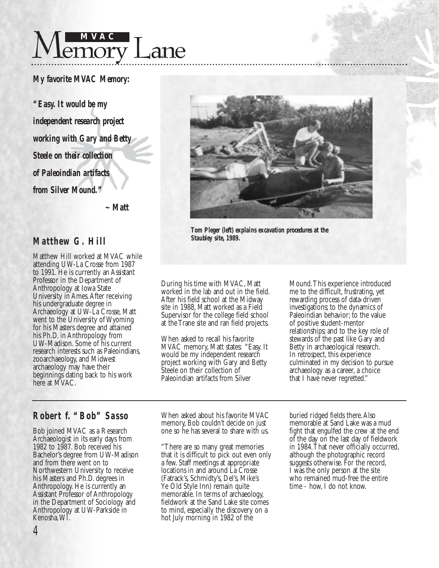

#### *My favorite MVAC Memory:*

*"Easy. It would be my independent research project working with Gary and Betty Steele on their collection of Paleoindian artifacts from Silver Mound."*

*~ Matt*

### *Matthew G. Hill*

Matthew Hill worked at MVAC while attending UW-La Crosse from 1987 to 1991. He is currently an Assistant Professor in the Department of Anthropology at Iowa State University in Ames.After receiving his undergraduate degree in Archaeology at UW-La Crosse, Matt went to the University of Wyoming for his Masters degree and attained his Ph.D. in Anthropology from UW-Madison. Some of his current research interests such as Paleoindians, zooarchaeology, and Midwest archaeology may have their beginnings dating back to his work here at MVAC.



*Tom Pleger (left) explains excavation procedures at the Staubley site, 1989.*

During his time with MVAC, Matt worked in the lab and out in the field. After his field school at the Midway site in 1988, Matt worked as a Field Supervisor for the college field school at the Trane site and ran field projects.

When asked to recall his favorite MVAC memory, Matt states: "Easy. It would be my independent research project working with Gary and Betty Steele on their collection of Paleoindian artifacts from Silver

Mound.This experience introduced me to the difficult, frustrating, yet rewarding process of data-driven investigations; to the dynamics of Paleoindian behavior; to the value of positive student-mentor relationships; and to the key role of stewards of the past like Gary and Betty in archaeological research. In retrospect, this experience culminated in my decision to pursue archaeology as a career, a choice that I have never regretted."

### *Robert f. "Bob" Sasso*

Bob joined MVAC as a Research Archaeologist in its early days from 1982 to 1987. Bob received his Bachelor's degree from UW-Madison and from there went on to Northwestern University to receive his Masters and Ph.D. degrees in Anthropology. He is currently an Assistant Professor of Anthropology in the Department of Sociology and Anthropology at UW-Parkside in Kenosha,WI.

When asked about his favorite MVAC memory, Bob couldn't decide on just one so he has several to share with us.

"There are so many great memories that it is difficult to pick out even only a few. Staff meetings at appropriate locations in and around La Crosse (Fatrack's, Schmidty's, Del's, Mike's Ye Old Style Inn) remain quite memorable. In terms of archaeology, fieldwork at the Sand Lake site comes to mind, especially the discovery on a hot July morning in 1982 of the

buried ridged fields there.Also memorable at Sand Lake was a mud fight that engulfed the crew at the end of the day on the last day of fieldwork in 1984.That never officially occurred, although the photographic record suggests otherwise. For the record, I was the only person at the site who remained mud-free the entire time - how, I do not know.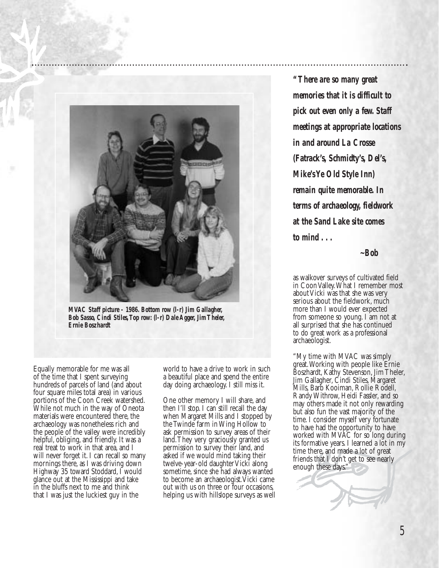

*MVAC Staff picture - 1986. Bottom row (l-r) Jim Gallagher, Bob Sasso, Cindi Stiles,Top row: (l-r) Dale Agger, Jim Theler, Ernie Boszhardt*

Equally memorable for me was all of the time that I spent surveying hundreds of parcels of land (and about four square miles total area) in various portions of the Coon Creek watershed. While not much in the way of Oneota materials were encountered there, the archaeology was nonetheless rich and the people of the valley were incredibly helpful, obliging, and friendly. It was a real treat to work in that area, and I will never forget it. I can recall so many mornings there, as I was driving down Highway 35 toward Stoddard, I would glance out at the Mississippi and take in the bluffs next to me and think that I was just the luckiest guy in the

world to have a drive to work in such a beautiful place and spend the entire day doing archaeology. I still miss it.

One other memory I will share, and then I'll stop. I can still recall the day when Margaret Mills and I stopped by the Twinde farm in Wing Hollow to ask permission to survey areas of their land.They very graciously granted us permission to survey their land, and asked if we would mind taking their twelve-year-old daughter Vicki along sometime, since she had always wanted to become an archaeologist. Vicki came out with us on three or four occasions, helping us with hillslope surveys as well

*"There are so many great memories that it is difficult to pick out even only a few. Staff meetings at appropriate locations in and around La Crosse (Fatrack's, Schmidty's, Del's, Mike's Ye Old Style Inn) remain quite memorable. In terms of archaeology, fieldwork at the Sand Lake site comes to mind . . .*

*~Bob*

as walkover surveys of cultivated field in Coon Valley.What I remember most about Vicki was that she was very serious about the fieldwork, much more than I would ever expected from someone so young. I am not at all surprised that she has continued to do great work as a professional archaeologist.

"My time with MVAC was simply great.Working with people like Ernie Boszhardt, Kathy Stevenson, Jim Theler, Jim Gallagher, Cindi Stiles, Margaret Mills, Barb Kooiman, Rollie Rodell, Randy Withrow, Heidi Fassler, and so may others made it not only rewarding but also fun the vast majority of the time. I consider myself very fortunate to have had the opportunity to have worked with MVAC for so long during its formative years. I learned a lot in my time there, and made a lot of great friends that I don't get to see nearly enough these days."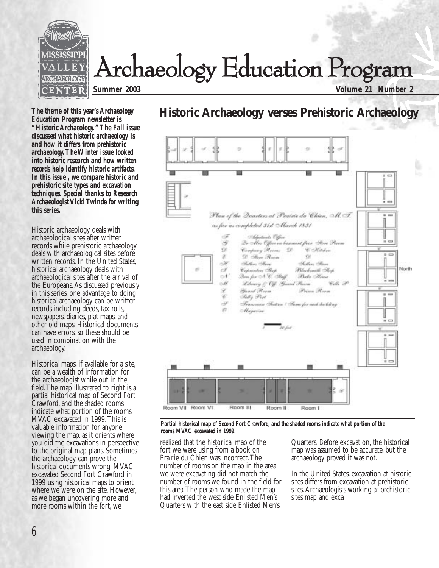

*The theme of this year's Archaeology Education Program newsletter is "Historic Archaeology."The Fall issue discussed what historic archaeology is and how it differs from prehistoric archaeology.The Winter issue looked into historic research and how written records help identify historic artifacts. In this issue , we compare historic and prehistoric site types and excavation techniques. Special thanks to Research Archaeologist Vicki Twinde for writing this series.*

Historic archaeology deals with archaeological sites after written records while prehistoric archaeology deals with archaeological sites before written records. In the United States, historical archaeology deals with archaeological sites after the arrival of the Europeans.As discussed previously in this series, one advantage to doing historical archaeology can be written records including deeds, tax rolls, newspapers, diaries, plat maps, and other old maps. Historical documents can have errors, so these should be used in combination with the archaeology.

Historical maps, if available for a site, can be a wealth of information for the archaeologist while out in the field.The map illustrated to right is a partial historical map of Second Fort Crawford, and the shaded rooms indicate what portion of the rooms MVAC excavated in 1999.This is valuable information for anyone viewing the map, as it orients where you did the excavations in perspective to the original map plans. Sometimes the archaeology can prove the historical documents wrong. MVAC excavated Second Fort Crawford in 1999 using historical maps to orient where we were on the site. However, as we began uncovering more and more rooms within the fort, we

### **Historic Archaeology verses Prehistoric Archaeology**



*Partial historical map of Second Fort Crawford, and the shaded rooms indicate what portion of the rooms MVAC excavated in 1999.*

realized that the historical map of the fort we were using from a book on Prairie du Chien was incorrect.The number of rooms on the map in the area we were excavating did not match the number of rooms we found in the field for this area.The person who made the map had inverted the west side Enlisted Men's Quarters with the east side Enlisted Men's

Quarters. Before excavation, the historical map was assumed to be accurate, but the archaeology proved it was not.

In the United States, excavation at historic sites differs from excavation at prehistoric sites.Archaeologists working at prehistoric sites map and exca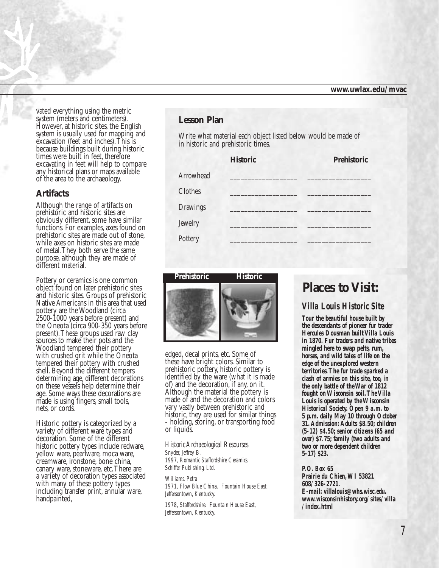vated everything using the metric system (meters and centimeters). However, at historic sites, the English system is usually used for mapping and excavation (feet and inches).This is because buildings built during historic times were built in feet, therefore excavating in feet will help to compare any historical plans or maps available of the area to the archaeology.

#### **Artifacts**

Although the range of artifacts on prehistoric and historic sites are obviously different, some have similar functions. For examples, axes found on prehistoric sites are made out of stone, while axes on historic sites are made of metal.They both serve the same purpose, although they are made of different material.

Pottery or ceramics is one common object found on later prehistoric sites and historic sites. Groups of prehistoric Native Americans in this area that used pottery are the Woodland (circa 2500-1000 years before present) and the Oneota (circa 900-350 years before present).These groups used raw clay sources to make their pots and the Woodland tempered their pottery with crushed grit while the Oneota tempered their pottery with crushed shell. Beyond the different tempers determining age, different decorations on these vessels help determine their age. Some ways these decorations are made is using fingers, small tools, nets, or cords.

Historic pottery is categorized by a<br>variety of different ware types and decoration. Some of the different historic pottery types include redware, yellow ware, pearlware, moca ware, creamware, ironstone, bone china, canary ware, stoneware, etc.There are a variety of decoration types associated with many of these pottery types including transfer print, annular ware, handpainted,

#### **Lesson Plan**

Write what material each object listed below would be made of in historic and prehistoric times.

| <b>Historic</b> | Prehistoric |
|-----------------|-------------|
|                 |             |
|                 |             |
|                 |             |
|                 |             |
|                 |             |
|                 |             |



edged, decal prints, etc. Some of these have bright colors. Similar to prehistoric pottery, historic pottery is identified by the ware (what it is made of) and the decoration, if any, on it. Although the material the pottery is made of and the decoration and colors vary vastly between prehistoric and historic, they are used for similar things - holding, storing, or transporting food or liquids.

*Historic Archaeological Resourses Snyder, Jeffrey B. 1997, Romantic Staffordshire Ceramics. Schiffer Publishing, Ltd.*

*Williams, Petra 1971, Flow Blue China. Fountain House East, Jeffersontown, Kentucky.*

*1978, Staffordshire. Fountain House East, Jeffersontown, Kentucky.*

### **Places to Visit:**

#### *Villa Louis Historic Site*

*Tour the beautiful house built by the descendants of pioneer fur trader Hercules Dousman built Villa Louis in 1870. Fur traders and native tribes mingled here to swap pelts, rum, horses, and wild tales of life on the edge of the unexplored western territories.The fur trade sparked a clash of armies on this site, too, in the only battle of the War of 1812 fought on Wisconsin soil.The Villa Louis is operated by the Wisconsin Historical Society. Open 9 a.m. to 5 p.m. daily May 10 through October 31.Admission:Adults \$8.50; children (5-12) \$4.50; senior citizens (65 and over) \$7.75; family (two adults and two or more dependent children 5-17) \$23.*

*P.O. Box 65 Prairie du Chien,WI 53821 608/326-2721. E-mail: villalouis@whs.wisc.edu. www.wisconsinhistory.org/sites/villa /index.html*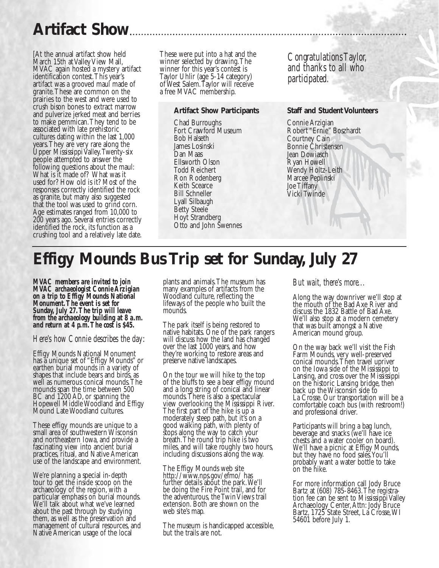# **Artifact Show**

[At the annual artifact show held March 15th at Valley View Mall, MVAC again hosted a mystery artifact identification contest.This year's artifact was a grooved maul made of granite.These are common on the prairies to the west and were used to crush bison bones to extract marrow and pulverize jerked meat and berries to make pemmican.They tend to be associated with late prehistoric cultures dating within the last 1,000 years.They are very rare along the Upper Mississippi Valley.Twenty-six people attempted to answer the following questions about the maul: What is it made of? What was it used for? How old is it? Most of the responses correctly identified the rock as granite, but many also suggested that the tool was used to grind corn. Age estimates ranged from 10,000 to 200 years ago. Several entries correctly identified the rock, its function as a crushing tool and a relatively late date. These were put into a hat and the winner selected by drawing.The winner for this year's contest is Taylor Uhlir (age 5-14 category) of West Salem.Taylor will receive a free MVAC membership.

#### **Artifact Show Participants**

Chad Burroughs Fort Crawford Museum Bob Halseth James Losinski Dan Maas Ellsworth Olson Todd Reichert Ron Rodenberg Keith Scearce Bill Schneller Lyall Silbaugh Betty Steele Hoyt Strandberg Otto and John Swennes

*Congratulations Taylor, and thanks to all who participated.*

#### **Staff and Student Volunteers**

Connie Arzigian Robert "Ernie" Boszhardt Courtney Cain Bonnie Christensen Jean Dowiasch Ryan Howell Wendy Holtz-Leith Marcee Peplinski Joe Tiffany Vicki Twinde

# **Effigy Mounds Bus Trip set for Sunday, July 27**

*MVAC members are invited to join MVAC archaeologist Connie Arzigian on a trip to Effigy Mounds National Monument.The event is set for Sunday, July 27.The trip will leave from the archaeology building at 8 a.m. and return at 4 p.m.The cost is \$45.*

*Here's how Connie describes the day*:

Effigy Mounds National Monument has a unique set of "Effigy Mounds" or earthen burial mounds in a variety of shapes that include bears and birds, as well as numerous conical mounds.The mounds span the time between 500 BC and 1200 AD, or spanning the Hopewell Middle Woodland and Effigy Mound Late Woodland cultures.

These effigy mounds are unique to a small area of southwestern Wisconsin and northeastern Iowa, and provide a fascinating view into ancient burial practices, ritual, and Native American use of the landscape and environment.

We're planning a special in-depth tour to get the inside scoop on the archaeology of the region, with a particular emphasis on burial mounds. We'll talk about what we've learned about the past through by studying them, as well as the preservation and management of cultural resources, and Native American usage of the local

plants and animals.The museum has many examples of artifacts from the Woodland culture, reflecting the lifeways of the people who built the mounds.

The park itself is being restored to native habitats. One of the park rangers will discuss how the land has changed over the last 1000 years, and how they're working to restore areas and preserve native landscapes.

On the tour we will hike to the top of the bluffs to see a bear effigy mound and a long string of conical and linear mounds.There is also a spectacular view overlooking the Mississippi River. The first part of the hike is up a moderately steep path, but it's on a good walking path, with plenty of stops along the way to catch your breath.The round trip hike is two miles, and will take roughly two hours, including discussions along the way.

The Effigy Mounds web site http://www.nps.gov/efmo/ has further details about the park.We'll be doing the Fire Point trail, and for the adventurous, the Twin Views trail extension. Both are shown on the web site's map.

The museum is handicapped accessible, but the trails are not.

#### *But wait, there's more...*

Along the way downriver we'll stop at the mouth of the Bad Axe River and discuss the 1832 Battle of Bad Axe. We'll also stop at a modern cemetery that was built amongst a Native American mound group.

On the way back we'll visit the Fish Farm Mounds, very well-preserved conical mounds.Then travel upriver on the Iowa side of the Mississippi to Lansing, and cross over the Mississippi on the historic Lansing bridge, then back up the Wisconsin side to La Crosse. Our transportation will be a comfortable coach bus (with restroom!) and professional driver.

Participants will bring a bag lunch, beverage and snacks (we'll have ice chests and a water cooler on board). We'll have a picnic at Effigy Mounds, but they have no food sales.You'll probably want a water bottle to take on the hike.

For more information call Jody Bruce Bartz at (608) 785-8463.The registration fee can be sent to Mississippi Valley Archaeology Center, Attn: Jody Bruce Bartz, 1725 State Street, La Crosse,WI 54601 before July 1.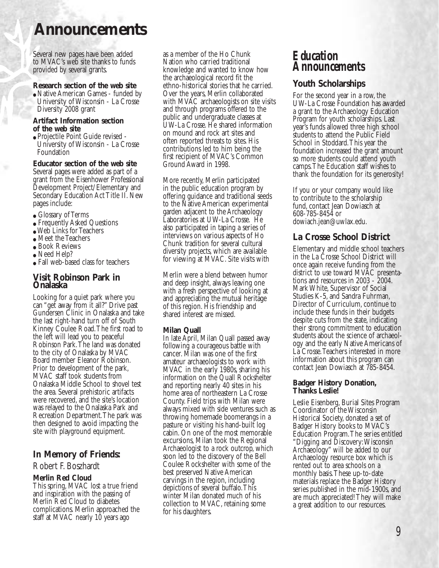### **Announcements**

Several new pages have been added to MVAC's web site thanks to funds provided by several grants.

#### **Research section of the web site**

• Native American Games - funded by University of Wisconsin - La Crosse Diversity 2008 grant

#### **Artifact Information section of the web site**

● Projectile Point Guide revised - University of Wisconsin - La Crosse Foundation

#### **Educator section of the web site**

Several pages were added as part of a grant from the Eisenhower Professional Development Project/Elementary and Secondary Education Act Title II. New pages include:

- Glossary of Terms
- Frequently Asked Questions
- Web Links for Teachers
- Meet the Teachers
- Book Reviews
- Need Help?
- Fall web-based class for teachers

#### **Visit Robinson Park in Onalaska**

Looking for a quiet park where you can "get away from it all?" Drive past Gundersen Clinic in Onalaska and take the last right-hand turn off of South Kinney Coulee Road.The first road to the left will lead you to peaceful Robinson Park.The land was donated to the city of Onalaska by MVAC Board member Eleanor Robinson. Prior to development of the park, MVAC staff took students from Onalaska Middle School to shovel test the area. Several prehistoric artifacts were recovered, and the site's location was relayed to the Onalaska Park and Recreation Department.The park was then designed to avoid impacting the site with playground equipment.

#### **In Memory of Friends:**

#### Robert F. Boszhardt

#### **Merlin Red Cloud**

This spring, MVAC lost a true friend and inspiration with the passing of Merlin Red Cloud to diabetes complications. Merlin approached the staff at MVAC nearly 10 years ago

as a member of the Ho Chunk Nation who carried traditional knowledge and wanted to know how the archaeological record fit the ethno-historical stories that he carried. Over the years, Merlin collaborated with MVAC archaeologists on site visits and through programs offered to the public and undergraduate classes at UW-La Crosse. He shared information on mound and rock art sites and often reported threats to sites. His contributions led to him being the first recipient of MVAC's Common Ground Award in 1998.

More recently, Merlin participated in the public education program by offering guidance and traditional seeds to the Native American experimental garden adjacent to the Archaeology Laboratories at UW-La Crosse. He also participated in taping a series of interviews on various aspects of Ho Chunk tradition for several cultural diversity projects, which are available for viewing at MVAC. Site visits with

Merlin were a blend between humor and deep insight, always leaving one with a fresh perspective of looking at and appreciating the mutual heritage of this region. His friendship and shared interest are missed.

#### **Milan Quall**

In late April, Milan Quall passed away following a courageous battle with cancer. Milan was one of the first amateur archaeologists to work with MVAC in the early 1980s, sharing his information on the Quall Rockshelter and reporting nearly 40 sites in his home area of northeastern La Crosse County. Field trips with Milan were always mixed with side ventures such as throwing homemade boomerangs in a pasture or visiting his hand-built log cabin. On one of the most memorable excursions, Milan took the Regional Archaeologist to a rock outcrop, which soon led to the discovery of the Bell Coulee Rockshelter with some of the best preserved Native American carvings in the region, including depictions of several buffalo.This winter Milan donated much of his collection to MVAC, retaining some for his daughters.

### *Education Announcements*

#### **Youth Scholarships**

For the second year in a row, the UW-La Crosse Foundation has awarded a grant to the Archaeology Education Program for youth scholarships. Last year's funds allowed three high school students to attend the Public Field School in Stoddard.This year the foundation increased the grant amount so more students could attend youth camps.The Education staff wishes to thank the foundation for its generosity!

If you or your company would like to contribute to the scholarship fund, contact Jean Dowiasch at 608-785-8454 or dowiach.jean@uwlax.edu.

#### **La Crosse School District**

Elementary and middle school teachers in the La Crosse School District will once again receive funding from the district to use toward MVAC presentations and resources in 2003 - 2004. Mark White, Supervisor of Social Studies K-5, and Sandra Fuhrman, Director of Curriculum, continue to include these funds in their budgets despite cuts from the state, indicating their strong commitment to education students about the science of archaeology and the early Native Americans of La Crosse.Teachers interested in more information about this program can contact Jean Dowiasch at 785-8454.

#### **Badger History Donation, Thanks Leslie!**

Leslie Eisenberg, Burial Sites Program Coordinator of the Wisconsin Historical Society, donated a set of Badger History books to MVAC's Education Program.The series entitled "Digging and Discovery:Wisconsin Archaeology" will be added to our Archaeology resource box which is rented out to area schools on a monthly basis.These up-to-date materials replace the Badger History series published in the mid-1900s, and are much appreciated! They will make a great addition to our resources.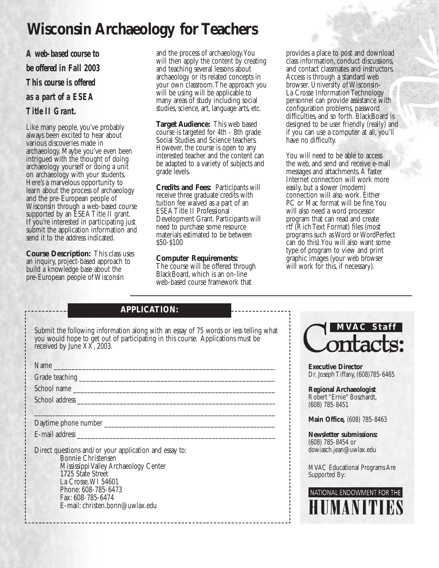# **Wisconsin Archaeology for Teachers**

*A web-based course to be offered in Fall 2003 This course is offered as a part of a ESEA Title II Grant.*

Like many people, you've probably always been excited to hear about various discoveries made in archaeology. Maybe you've even been intrigued with the thought of doing archaeology yourself or doing a unit on archaeology with your students. Here's a marvelous opportunity to learn about the process of archaeology and the pre-European people of Wisconsin through a web-based course supported by an ESEA Title II grant. If you're interested in participating just submit the application information and send it to the address indicated.

**Course Description:** This class uses an inquiry, project-based approach to build a knowledge base about the pre-European people of Wisconsin

and the process of archaeology.You will then apply the content by creating and teaching several lessons about archaeology or its related concepts in your own classroom.The approach you will be using will be applicable to many areas of study including social studies, science, art, language arts, etc.

**Target Audience:** This web based course is targeted for 4th - 8th grade Social Studies and Science teachers. However, the course is open to any interested teacher and the content can be adapted to a variety of subjects and grade levels.

**Credits and Fees:** Participants will receive three graduate credits with tuition fee waived as a part of an ESEA Title II Professional Development Grant. Participants will need to purchase some resource materials estimated to be between \$50-\$100

#### **Computer Requirements:**

The course will be offered through BlackBoard, which is an on-line web-based course framework that

provides a place to post and download class information, conduct discussions, and contact classmates and instructors. Access is through a standard web browser. University of Wisconsin-La Crosse Information Technology personnel can provide assistance with configuration problems, password difficulties, and so forth. BlackBoard is designed to be user friendly (really) and if you can use a computer at all, you'll have no difficulty.

You will need to be able to access the web, and send and receive e-mail messages and attachments.A faster Internet connection will work more easily, but a slower (modem) connection will also work. Either PC or Mac format will be fine.You will also need a word processor program that can read and create rtf (Rich Text Format) files (most programs such as Word or WordPerfect can do this).You will also want some type of program to view and print graphic images (your web browser will work for this, if necessary).

### **APPLICATION:**

Submit the following information along with an essay of 75 words or less telling what you would hope to get out of participating in this course. Applications must be received by June XX, 2003.

 $\Box$  , and the state of the state of the state of the state of the state of the state of the state of the state of the state of the state of the state of the state of the state of the state of the state of the state of th

Name \_\_\_\_\_\_\_\_\_\_\_\_\_\_\_\_\_\_\_\_\_\_\_\_\_\_\_\_\_\_\_\_\_\_\_\_\_\_\_\_\_\_\_\_\_\_\_\_\_\_\_\_\_\_\_\_\_\_\_\_\_\_\_\_

Grade teaching \_\_\_\_\_\_\_\_\_\_\_\_\_\_\_\_\_\_\_\_\_\_\_\_\_\_\_\_\_\_\_\_\_\_\_\_\_\_\_\_\_\_\_\_\_\_\_\_\_\_\_\_\_\_\_\_

School name \_\_\_\_\_\_\_\_\_\_\_\_\_\_\_\_\_\_\_\_\_\_\_\_\_\_\_\_\_\_\_\_\_\_\_\_\_\_\_\_\_\_\_\_\_\_\_\_\_\_\_\_\_\_\_\_\_\_

School address  $\blacksquare$ 

Daytime phone number \_\_\_\_\_\_\_\_\_\_\_\_\_\_\_\_\_\_\_\_\_\_\_\_\_\_\_\_\_\_\_\_\_\_\_\_\_\_\_\_\_\_\_\_\_\_\_\_\_

E-mail address \_\_\_\_\_\_\_\_\_\_\_\_\_\_\_\_\_\_\_\_\_\_\_\_\_\_\_\_\_\_\_\_\_\_\_\_\_\_\_\_\_\_\_\_\_\_\_\_\_\_\_\_\_\_\_\_\_

Direct questions and/or your application and essay to: Bonnie Christensen Mississippi Valley Archaeology Center 1725 State Street La Crosse,WI 54601 Phone: 608-785-6473 Fax: 608-785-6474 E-mail: christen.bonn@uwlax.edu



**Executive Director** Dr. Joseph Tiffany, (608)785-6465

**Regional Archaeologist** Robert "Ernie" Boszhardt, (608) 785-8451

**Main Office,** (608) 785-8463

**Newsletter submissions:** (608) 785-8454 or dowiasch.jean@uwlax.edu

MVAC Educational Programs Are Supported By:

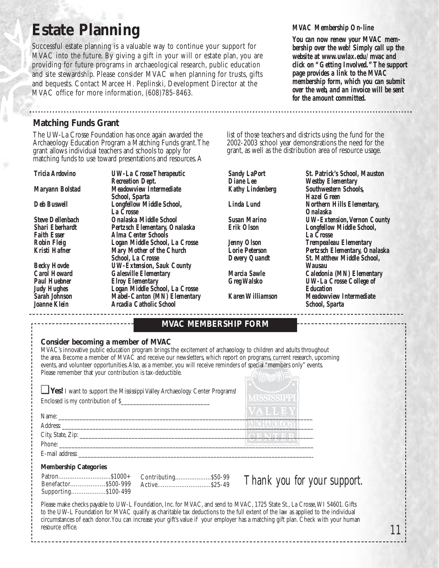# **Estate Planning**

Successful estate planning is a valuable way to continue your support for MVAC into the future. By giving a gift in your will or estate plan, you are providing for future programs in archaeological research, public education and site stewardship. Please consider MVAC when planning for trusts, gifts and bequests. Contact Marcee H. Peplinski, Development Director at the MVAC office for more information, (608)785-8463.

#### *MVAC Membership On-line*

*You can now renew your MVAC membership over the web! Simply call up the website at www.uwlax.edu/mvac and click on "Getting Involved."The support page provides a link to the MVAC membership form, which you can submit over the web, and an invoice will be sent for the amount committed.*

### **Matching Funds Grant**

The UW-La Crosse Foundation has once again awarded the Archaeology Education Program a Matching Funds grant.The grant allows individual teachers and schools to apply for matching funds to use toward presentations and resources.A

*Tricia Ardovino UW-La Crosse Therapeutic Recreation Dept. Maryann Bolstad Meadowview Intermediate School, Sparta Deb Buswell Longfellow Middle School, La Crosse Steve Dellenbach Onalaska Middle School Shari Eberhardt Pertzsch Elementary, Onalaska Faith Esser Alma Center Schools Robin Fleig Logan Middle School, La Crosse Kristi Hafner Mary Mother of the Church School, La Crosse Becky Hovde UW-Extension, Sauk County Carol Howard Galesville Elementary Paul Huebner Elroy Elementary Judy Hughes Logan Middle School, La Crosse Sarah Johnson Mabel-Canton (MN) Elementary Joanne Klein Arcadia Catholic School*

list of those teachers and districts using the fund for the 2002-2003 school year demonstrations the need for the grant, as well as the distribution area of resource usage.

*Sandy LaPort St. Patrick's School, Mauston Diane Lee Westby Elementary Kathy Lindenberg Southwestern Schools, Hazel Green Linda Lund Northern Hills Elementary, Onalaska Susan Marino UW-Extension,Vernon County Erik Olson Longfellow Middle School, La Crosse Jenny Olson Trempealeau Elementary Lorie Peterson Pertzsch Elementary, Onalaska*  $St.$  Matthew Middle School, *Wausau Marcia Sawle Caledonia (MN) Elementary*  $UW$ -La Crosse College of *Education Karen Williamson Meadowview Intermediate School, Sparta*

#### **MVAC MEMBERSHIP FORM**

#### **Consider becoming a member of MVAC**

MVAC's innovative public education program brings the excitement of archaeology to children and adults throughout the area. Become a member of MVAC and receive our newsletters, which report on programs, current research, upcoming events, and volunteer opportunities.Also, as a member, you will receive reminders of special "members only" events. Please remember that your contribution is tax-deductible.

| <b>Ves!</b> I want to support the Mississippi Valley Archaeology Center Programs!<br>Enclosed is my contribution of \$_ | <b>MISSISSIPPI</b> |
|-------------------------------------------------------------------------------------------------------------------------|--------------------|
| Name:                                                                                                                   | VALLEY             |
| Address:                                                                                                                |                    |
| City, State, Zip:                                                                                                       |                    |
| Phone:                                                                                                                  |                    |

E-mail address:

#### **Membership Categories**

Patron.............................\$1000+ Benefactor...................\$500-999 Supporting...................\$100-499 Contributing....................\$50-99 Active.............................\$25-49

*Thank you for your support.*

Please make checks payable to UW-L Foundation, Inc. for MVAC, and send to MVAC, 1725 State St., La Crosse,WI 54601. Gifts to the UW-L Foundation for MVAC qualify as charitable tax deductions to the full extent of the law as applied to the individual circumstances of each donor.You can increase your gift's value if your employer has a matching gift plan. Check with your human resource office.

*11*